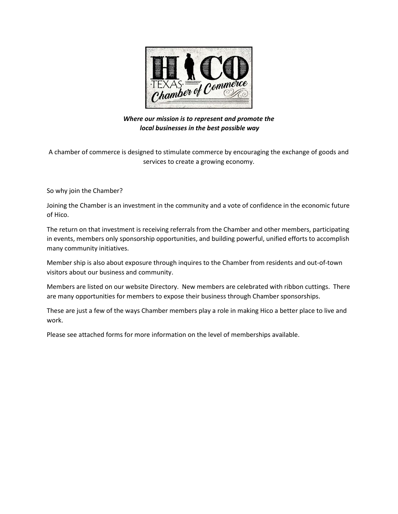

Where our mission is to represent and promote the local businesses in the best possible way

A chamber of commerce is designed to stimulate commerce by encouraging the exchange of goods and services to create a growing economy.

So why join the Chamber?

Joining the Chamber is an investment in the community and a vote of confidence in the economic future of Hico.

The return on that investment is receiving referrals from the Chamber and other members, participating in events, members only sponsorship opportunities, and building powerful, unified efforts to accomplish many community initiatives.

Member ship is also about exposure through inquires to the Chamber from residents and out-of-town visitors about our business and community.

Members are listed on our website Directory. New members are celebrated with ribbon cuttings. There are many opportunities for members to expose their business through Chamber sponsorships.

These are just a few of the ways Chamber members play a role in making Hico a better place to live and work.

Please see attached forms for more information on the level of memberships available.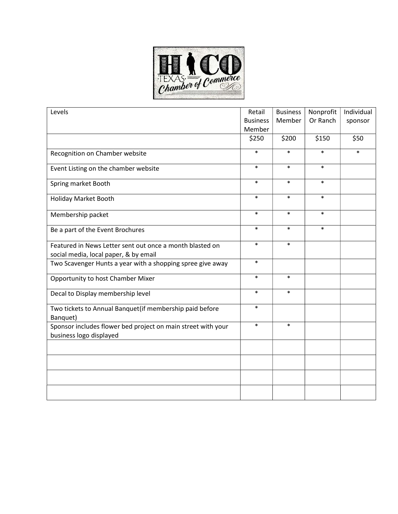

| Levels                                                                                  | Retail          | <b>Business</b> | Nonprofit | Individual |
|-----------------------------------------------------------------------------------------|-----------------|-----------------|-----------|------------|
|                                                                                         | <b>Business</b> | Member          | Or Ranch  | sponsor    |
|                                                                                         | Member          |                 |           |            |
|                                                                                         | \$250           | \$200           | \$150     | \$50       |
| Recognition on Chamber website                                                          | $\ast$          | $\ast$          | $\ast$    | $\ast$     |
| Event Listing on the chamber website                                                    | $\ast$          | $\ast$          | $\ast$    |            |
| Spring market Booth                                                                     | $\ast$          | $\ast$          | $\ast$    |            |
| Holiday Market Booth                                                                    | $\ast$          | $\ast$          | $\ast$    |            |
| Membership packet                                                                       | $\ast$          | $\ast$          | $\ast$    |            |
| Be a part of the Event Brochures                                                        | $\ast$          | $\ast$          | $\ast$    |            |
| Featured in News Letter sent out once a month blasted on                                | $\ast$          | $\ast$          |           |            |
| social media, local paper, & by email                                                   |                 |                 |           |            |
| Two Scavenger Hunts a year with a shopping spree give away                              | $\ast$          |                 |           |            |
| Opportunity to host Chamber Mixer                                                       | $\ast$          | $\ast$          |           |            |
| Decal to Display membership level                                                       | $\ast$          | $\ast$          |           |            |
| Two tickets to Annual Banquet(if membership paid before<br>Banquet)                     | $\ast$          |                 |           |            |
| Sponsor includes flower bed project on main street with your<br>business logo displayed | $\ast$          | $\ast$          |           |            |
|                                                                                         |                 |                 |           |            |
|                                                                                         |                 |                 |           |            |
|                                                                                         |                 |                 |           |            |
|                                                                                         |                 |                 |           |            |